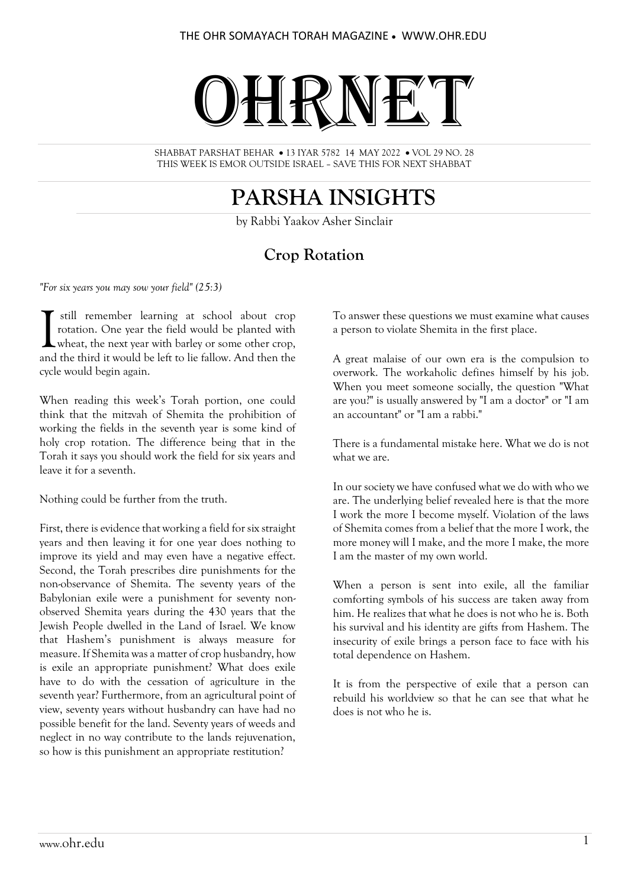# OHRNET

SHABBAT PARSHAT BEHAR • 13 IYAR 5782 14 MAY 2022 • VOL 29 NO. 28 THIS WEEK IS EMOR OUTSIDE ISRAEL – SAVE THIS FOR NEXT SHABBAT

## **PARSHA INSIGHTS**

by Rabbi Yaakov Asher Sinclair

## **Crop Rotation**

*"For six years you may sow your field" (25:3)*

still remember learning at school about crop rotation. One year the field would be planted with wheat, the next year with barley or some other crop, still remember learning at school about crop rotation. One year the field would be planted with wheat, the next year with barley or some other crop, and the third it would be left to lie fallow. And then the cycle would begin again.

When reading this week's Torah portion, one could think that the mitzvah of Shemita the prohibition of working the fields in the seventh year is some kind of holy crop rotation. The difference being that in the Torah it says you should work the field for six years and leave it for a seventh.

Nothing could be further from the truth.

First, there is evidence that working a field for six straight years and then leaving it for one year does nothing to improve its yield and may even have a negative effect. Second, the Torah prescribes dire punishments for the non-observance of Shemita. The seventy years of the Babylonian exile were a punishment for seventy nonobserved Shemita years during the 430 years that the Jewish People dwelled in the Land of Israel. We know that Hashem's punishment is always measure for measure. If Shemita was a matter of crop husbandry, how is exile an appropriate punishment? What does exile have to do with the cessation of agriculture in the seventh year? Furthermore, from an agricultural point of view, seventy years without husbandry can have had no possible benefit for the land. Seventy years of weeds and neglect in no way contribute to the lands rejuvenation, so how is this punishment an appropriate restitution?

To answer these questions we must examine what causes a person to violate Shemita in the first place.

A great malaise of our own era is the compulsion to overwork. The workaholic defines himself by his job. When you meet someone socially, the question "What are you?" is usually answered by "I am a doctor" or "I am an accountant" or "I am a rabbi."

There is a fundamental mistake here. What we do is not what we are.

In our society we have confused what we do with who we are. The underlying belief revealed here is that the more I work the more I become myself. Violation of the laws of Shemita comes from a belief that the more I work, the more money will I make, and the more I make, the more I am the master of my own world.

When a person is sent into exile, all the familiar comforting symbols of his success are taken away from him. He realizes that what he does is not who he is. Both his survival and his identity are gifts from Hashem. The insecurity of exile brings a person face to face with his total dependence on Hashem.

It is from the perspective of exile that a person can rebuild his worldview so that he can see that what he does is not who he is.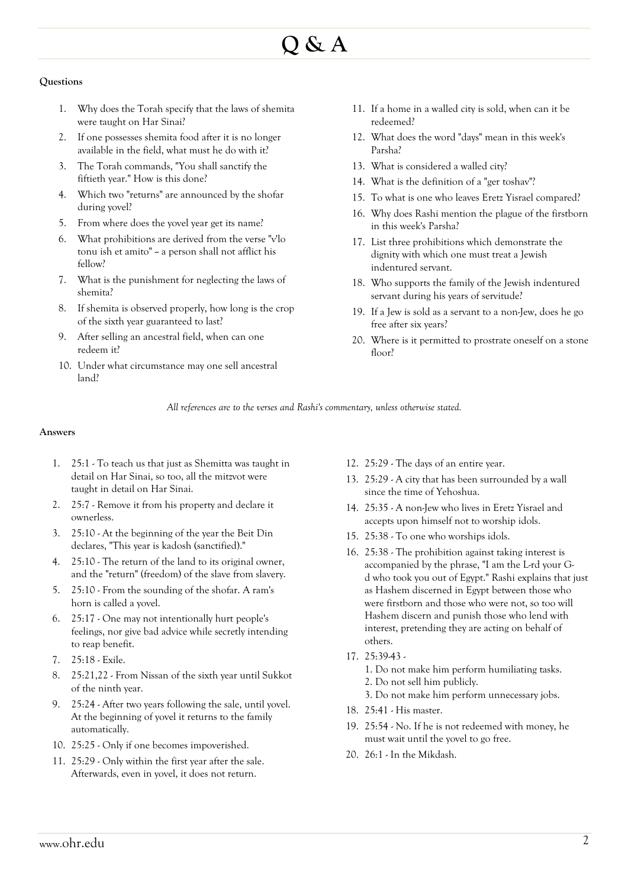# **Q & A**

#### **Questions**

- 1. Why does the Torah specify that the laws of shemita were taught on Har Sinai?
- 2. If one possesses shemita food after it is no longer available in the field, what must he do with it?
- 3. The Torah commands, "You shall sanctify the fiftieth year." How is this done?
- 4. Which two "returns" are announced by the shofar during yovel?
- 5. From where does the yovel year get its name?
- 6. What prohibitions are derived from the verse "v'lo tonu ish et amito"  $\sim$  a person shall not afflict his fellow?
- 7. What is the punishment for neglecting the laws of shemita?
- 8. If shemita is observed properly, how long is the crop of the sixth year guaranteed to last?
- 9. After selling an ancestral field, when can one redeem it?
- 10. Under what circumstance may one sell ancestral land?
- 11. If a home in a walled city is sold, when can it be redeemed?
- 12. What does the word "days" mean in this week's Parsha?
- 13. What is considered a walled city?
- 14. What is the definition of a "ger toshav"?
- 15. To what is one who leaves Eretz Yisrael compared?
- 16. Why does Rashi mention the plague of the firstborn in this week's Parsha?
- 17. List three prohibitions which demonstrate the dignity with which one must treat a Jewish indentured servant.
- 18. Who supports the family of the Jewish indentured servant during his years of servitude?
- 19. If a Jew is sold as a servant to a non-Jew, does he go free after six years?
- 20. Where is it permitted to prostrate oneself on a stone floor?

*All references are to the verses and Rashi's commentary, unless otherwise stated.*

#### **Answers**

- 1. 25:1 To teach us that just as Shemitta was taught in detail on Har Sinai, so too, all the mitzvot were taught in detail on Har Sinai.
- 2. 25:7 Remove it from his property and declare it ownerless.
- 3. 25:10 At the beginning of the year the Beit Din declares, "This year is kadosh (sanctified)."
- 4. 25:10 The return of the land to its original owner, and the "return" (freedom) of the slave from slavery.
- 5. 25:10 From the sounding of the shofar. A ram's horn is called a yovel.
- 6. 25:17 One may not intentionally hurt people's feelings, nor give bad advice while secretly intending to reap benefit.
- 7. 25:18 Exile.
- 8. 25:21,22 From Nissan of the sixth year until Sukkot of the ninth year.
- 9. 25:24 After two years following the sale, until yovel. At the beginning of yovel it returns to the family automatically.
- 10. 25:25 Only if one becomes impoverished.
- 11. 25:29 Only within the first year after the sale. Afterwards, even in yovel, it does not return.
- 12. 25:29 The days of an entire year.
- 13. 25:29 A city that has been surrounded by a wall since the time of Yehoshua.
- 14. 25:35 A non-Jew who lives in Eretz Yisrael and accepts upon himself not to worship idols.
- 15. 25:38 To one who worships idols.
- 16. 25:38 The prohibition against taking interest is accompanied by the phrase, "I am the L-rd your Gd who took you out of Egypt." Rashi explains that just as Hashem discerned in Egypt between those who were firstborn and those who were not, so too will Hashem discern and punish those who lend with interest, pretending they are acting on behalf of others.
- 17. 25:39-43
	- 1. Do not make him perform humiliating tasks. 2. Do not sell him publicly.
	- 3. Do not make him perform unnecessary jobs.
- 18. 25:41 His master.
- 19. 25:54 No. If he is not redeemed with money, he must wait until the yovel to go free.
- 20. 26:1 In the Mikdash.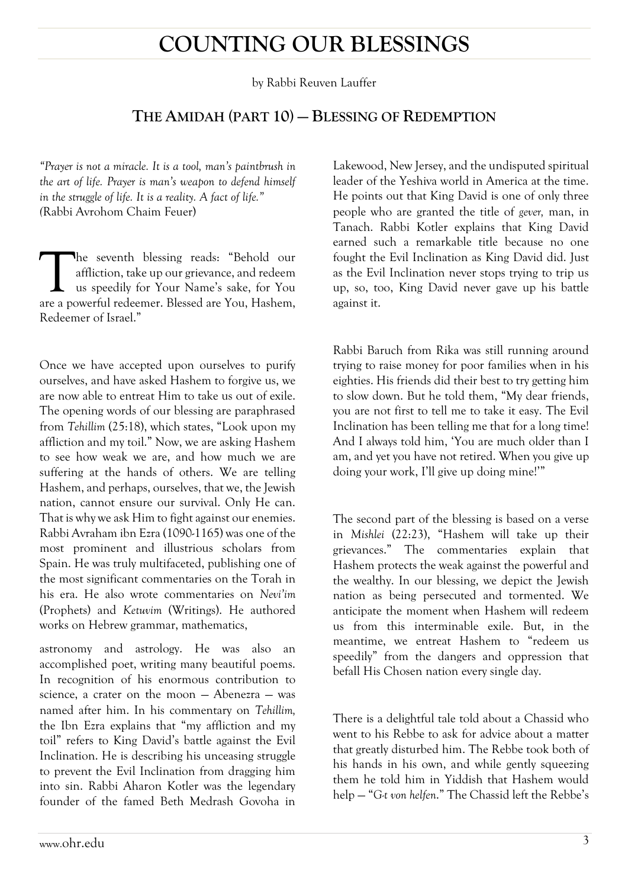## **COUNTING OUR BLESSINGS**

by Rabbi Reuven Lauffer

#### **THE AMIDAH (PART 10) — BLESSING OF REDEMPTION**

*"Prayer is not a miracle. It is a tool, man's paintbrush in the art of life. Prayer is man's weapon to defend himself in the struggle of life. It is a reality. A fact of life." (*Rabbi Avrohom Chaim Feuer)

he seventh blessing reads: "Behold our affliction, take up our grievance, and redeem us speedily for Your Name's sake, for You The seventh blessing reads: "Behold our affliction, take up our grievance, and redeemer. us speedily for Your Name's sake, for You are a powerful redeemer. Blessed are You, Hashem, Redeemer of Israel."

Once we have accepted upon ourselves to purify ourselves, and have asked Hashem to forgive us, we are now able to entreat Him to take us out of exile. The opening words of our blessing are paraphrased from *Tehillim* (25:18), which states, "Look upon my affliction and my toil." Now, we are asking Hashem to see how weak we are, and how much we are suffering at the hands of others. We are telling Hashem, and perhaps, ourselves, that we, the Jewish nation, cannot ensure our survival. Only He can. That is why we ask Him to fight against our enemies. Rabbi Avraham ibn Ezra (1090-1165) was one of the most prominent and illustrious scholars from Spain. He was truly multifaceted, publishing one of the most significant commentaries on the Torah in his era. He also wrote commentaries on *Nevi'im* (Prophets) and *Ketuvim* (Writings). He authored works on Hebrew grammar, mathematics,

astronomy and astrology. He was also an accomplished poet, writing many beautiful poems. In recognition of his enormous contribution to science, a crater on the moon — Abenezra — was named after him. In his commentary on *Tehillim,* the Ibn Ezra explains that "my affliction and my toil" refers to King David's battle against the Evil Inclination. He is describing his unceasing struggle to prevent the Evil Inclination from dragging him into sin. Rabbi Aharon Kotler was the legendary founder of the famed Beth Medrash Govoha in

Lakewood, New Jersey, and the undisputed spiritual leader of the Yeshiva world in America at the time. He points out that King David is one of only three people who are granted the title of *gever,* man, in Tanach. Rabbi Kotler explains that King David earned such a remarkable title because no one fought the Evil Inclination as King David did. Just as the Evil Inclination never stops trying to trip us up, so, too, King David never gave up his battle against it.

Rabbi Baruch from Rika was still running around trying to raise money for poor families when in his eighties. His friends did their best to try getting him to slow down. But he told them, "My dear friends, you are not first to tell me to take it easy. The Evil Inclination has been telling me that for a long time! And I always told him, 'You are much older than I am, and yet you have not retired. When you give up doing your work, I'll give up doing mine!'"

The second part of the blessing is based on a verse in *Mishlei* (22:23), "Hashem will take up their grievances." The commentaries explain that Hashem protects the weak against the powerful and the wealthy. In our blessing, we depict the Jewish nation as being persecuted and tormented. We anticipate the moment when Hashem will redeem us from this interminable exile. But, in the meantime, we entreat Hashem to "redeem us speedily" from the dangers and oppression that befall His Chosen nation every single day.

There is a delightful tale told about a Chassid who went to his Rebbe to ask for advice about a matter that greatly disturbed him. The Rebbe took both of his hands in his own, and while gently squeezing them he told him in Yiddish that Hashem would help — "*G-t von helfen*." The Chassid left the Rebbe's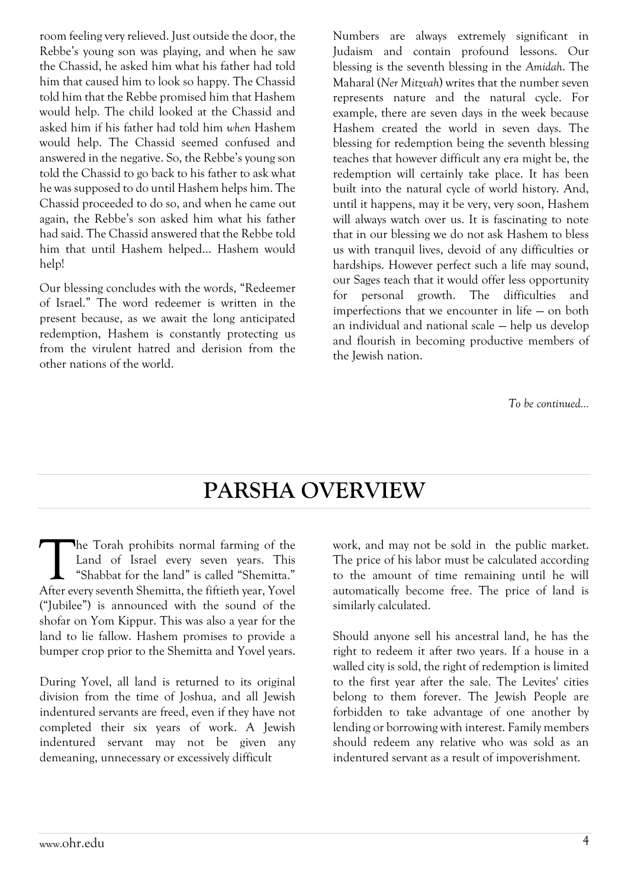room feeling very relieved. Just outside the door, the Rebbe's young son was playing, and when he saw the Chassid, he asked him what his father had told him that caused him to look so happy. The Chassid told him that the Rebbe promised him that Hashem would help. The child looked at the Chassid and asked him if his father had told him *when* Hashem would help. The Chassid seemed confused and answered in the negative. So, the Rebbe's young son told the Chassid to go back to his father to ask what he was supposed to do until Hashem helps him. The Chassid proceeded to do so, and when he came out again, the Rebbe's son asked him what his father had said. The Chassid answered that the Rebbe told him that until Hashem helped… Hashem would help!

Our blessing concludes with the words, "Redeemer of Israel." The word redeemer is written in the present because, as we await the long anticipated redemption, Hashem is constantly protecting us from the virulent hatred and derision from the other nations of the world.

Numbers are always extremely significant in Judaism and contain profound lessons. Our blessing is the seventh blessing in the *Amidah*. The Maharal (*Ner Mitzvah*) writes that the number seven represents nature and the natural cycle. For example, there are seven days in the week because Hashem created the world in seven days. The blessing for redemption being the seventh blessing teaches that however difficult any era might be, the redemption will certainly take place. It has been built into the natural cycle of world history. And, until it happens, may it be very, very soon, Hashem will always watch over us. It is fascinating to note that in our blessing we do not ask Hashem to bless us with tranquil lives, devoid of any difficulties or hardships. However perfect such a life may sound, our Sages teach that it would offer less opportunity for personal growth. The difficulties and imperfections that we encounter in life — on both an individual and national scale — help us develop and flourish in becoming productive members of the Jewish nation.

*To be continued…*

## **PARSHA OVERVIEW**

he Torah prohibits normal farming of the Land of Israel every seven years. This "Shabbat for the land" is called "Shemitta." The Torah prohibits normal farming of the Land of Israel every seven years. This "Shabbat for the land" is called "Shemitta."<br>After every seventh Shemitta, the fiftieth year, Yovel ("Jubilee") is announced with the sound of the shofar on Yom Kippur. This was also a year for the land to lie fallow. Hashem promises to provide a bumper crop prior to the Shemitta and Yovel years.

During Yovel, all land is returned to its original division from the time of Joshua, and all Jewish indentured servants are freed, even if they have not completed their six years of work. A Jewish indentured servant may not be given any demeaning, unnecessary or excessively difficult

work, and may not be sold in the public market. The price of his labor must be calculated according to the amount of time remaining until he will automatically become free. The price of land is similarly calculated.

Should anyone sell his ancestral land, he has the right to redeem it after two years. If a house in a walled city is sold, the right of redemption is limited to the first year after the sale. The Levites' cities belong to them forever. The Jewish People are forbidden to take advantage of one another by lending or borrowing with interest. Family members should redeem any relative who was sold as an indentured servant as a result of impoverishment.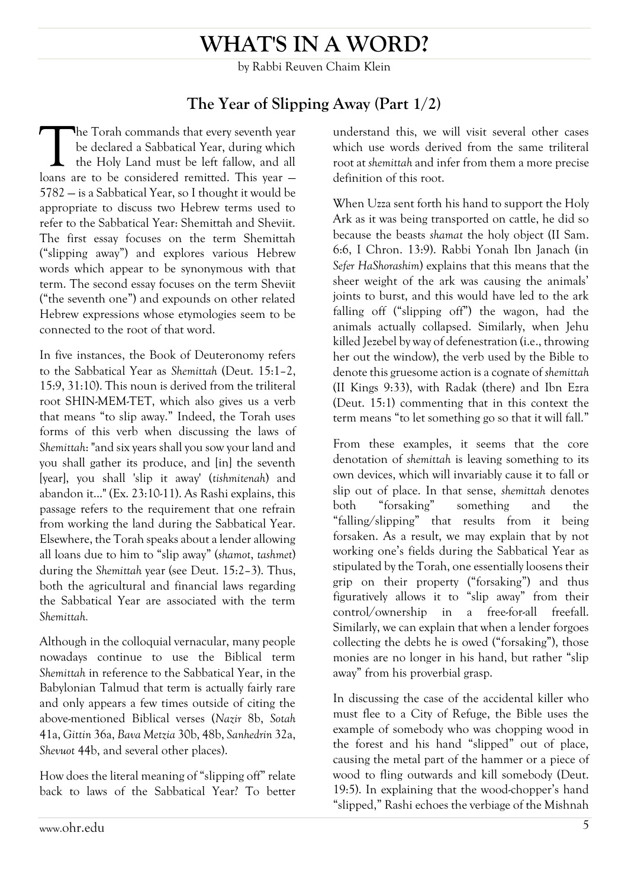## **WHAT'S IN A WORD?**

by Rabbi Reuven Chaim Klein

#### **The Year of Slipping Away (Part 1/2)**

he Torah commands that every seventh year be declared a Sabbatical Year, during which the Holy Land must be left fallow, and all The Torah commands that every seventh year<br>be declared a Sabbatical Year, during which<br>the Holy Land must be left fallow, and all<br>loans are to be considered remitted. This year – 5782 — is a Sabbatical Year, so I thought it would be appropriate to discuss two Hebrew terms used to refer to the Sabbatical Year: Shemittah and Sheviit. The first essay focuses on the term Shemittah ("slipping away") and explores various Hebrew words which appear to be synonymous with that term. The second essay focuses on the term Sheviit ("the seventh one") and expounds on other related Hebrew expressions whose etymologies seem to be connected to the root of that word.

In five instances, the Book of Deuteronomy refers to the Sabbatical Year as *Shemittah* (Deut. 15:1–2, 15:9, 31:10). This noun is derived from the triliteral root SHIN-MEM-TET, which also gives us a verb that means "to slip away." Indeed, the Torah uses forms of this verb when discussing the laws of *Shemittah*: "and six years shall you sow your land and you shall gather its produce, and [in] the seventh [year], you shall 'slip it away' (*tishmitenah*) and abandon it..." (Ex. 23:10-11). As Rashi explains, this passage refers to the requirement that one refrain from working the land during the Sabbatical Year. Elsewhere, the Torah speaks about a lender allowing all loans due to him to "slip away" (*shamot*, *tashmet*) during the *Shemittah* year (see Deut. 15:2–3). Thus, both the agricultural and financial laws regarding the Sabbatical Year are associated with the term *Shemittah.*

Although in the colloquial vernacular, many people nowadays continue to use the Biblical term *Shemittah* in reference to the Sabbatical Year, in the Babylonian Talmud that term is actually fairly rare and only appears a few times outside of citing the above-mentioned Biblical verses (*Nazir* 8b, *Sotah* 41a, *Gittin* 36a, *Bava Metzia* 30b, 48b, *Sanhedrin* 32a, *Shevuot* 44b, and several other places).

How does the literal meaning of "slipping off" relate back to laws of the Sabbatical Year? To better understand this, we will visit several other cases which use words derived from the same triliteral root at *shemittah* and infer from them a more precise definition of this root.

When Uzza sent forth his hand to support the Holy Ark as it was being transported on cattle, he did so because the beasts *shamat* the holy object (II Sam. 6:6, I Chron. 13:9). Rabbi Yonah Ibn Janach (in *Sefer HaShorashim*) explains that this means that the sheer weight of the ark was causing the animals' joints to burst, and this would have led to the ark falling off ("slipping off") the wagon, had the animals actually collapsed. Similarly, when Jehu killed Jezebel by way of defenestration (i.e., throwing her out the window), the verb used by the Bible to denote this gruesome action is a cognate of *shemittah* (II Kings 9:33), with Radak (there) and Ibn Ezra (Deut. 15:1) commenting that in this context the term means "to let something go so that it will fall."

From these examples, it seems that the core denotation of *shemittah* is leaving something to its own devices, which will invariably cause it to fall or slip out of place. In that sense, *shemittah* denotes both "forsaking" something and the "falling/slipping" that results from it being forsaken. As a result, we may explain that by not working one's fields during the Sabbatical Year as stipulated by the Torah, one essentially loosens their grip on their property ("forsaking") and thus figuratively allows it to "slip away" from their control/ownership in a free-for-all freefall. Similarly, we can explain that when a lender forgoes collecting the debts he is owed ("forsaking"), those monies are no longer in his hand, but rather "slip away" from his proverbial grasp.

In discussing the case of the accidental killer who must flee to a City of Refuge, the Bible uses the example of somebody who was chopping wood in the forest and his hand "slipped" out of place, causing the metal part of the hammer or a piece of wood to fling outwards and kill somebody (Deut. 19:5). In explaining that the wood-chopper's hand "slipped," Rashi echoes the verbiage of the Mishnah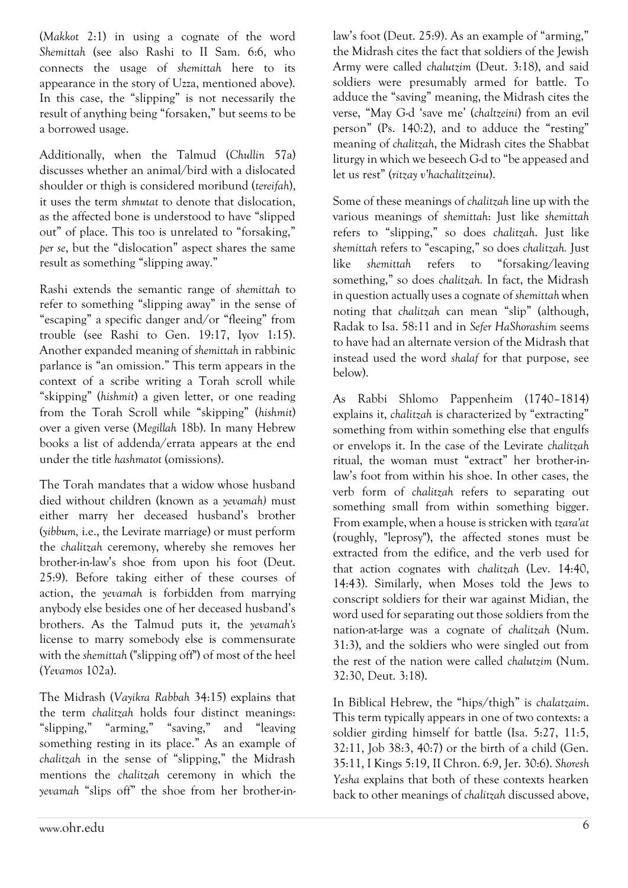(*Makkot* 2:1) in using a cognate of the word *Shemittah* (see also Rashi to II Sam. 6:6, who connects the usage of *shemittah* here to its appearance in the story of Uzza, mentioned above). In this case, the "slipping" is not necessarily the result of anything being "forsaken," but seems to be a borrowed usage.

Additionally, when the Talmud (*Chullin* 57a) discusses whether an animal/bird with a dislocated shoulder or thigh is considered moribund (*tereifah*), it uses the term *shmutat* to denote that dislocation, as the affected bone is understood to have "slipped out" of place. This too is unrelated to "forsaking," *per se*, but the "dislocation" aspect shares the same result as something "slipping away."

Rashi extends the semantic range of *shemittah* to refer to something "slipping away" in the sense of "escaping" a specific danger and/or "fleeing" from trouble (see Rashi to Gen. 19:17, Iyov 1:15). Another expanded meaning of *shemittah* in rabbinic parlance is "an omission." This term appears in the context of a scribe writing a Torah scroll while "skipping" (*hishmit*) a given letter, or one reading from the Torah Scroll while "skipping" (*hishmit*) over a given verse (*Megillah* 18b). In many Hebrew books a list of addenda/errata appears at the end under the title *hashmatot* (omissions).

The Torah mandates that a widow whose husband died without children (known as a *yevamah)* must either marry her deceased husband's brother (*yibbum,* i.e., the Levirate marriage) or must perform the *chalitzah* ceremony, whereby she removes her brother-in-law's shoe from upon his foot (Deut. 25:9). Before taking either of these courses of action, the *yevamah* is forbidden from marrying anybody else besides one of her deceased husband's brothers. As the Talmud puts it, the *yevamah's* license to marry somebody else is commensurate with the *shemittah* ("slipping off") of most of the heel (*Yevamos* 102a).

The Midrash (*Vayikra Rabbah* 34:15) explains that the term *chalitzah* holds four distinct meanings: "slipping," "arming," "saving," and "leaving something resting in its place." As an example of *chalitzah* in the sense of "slipping," the Midrash mentions the *chalitzah* ceremony in which the *yevamah* "slips off" the shoe from her brother-inlaw's foot (Deut. 25:9). As an example of "arming," the Midrash cites the fact that soldiers of the Jewish Army were called *chalutzim* (Deut. 3:18), and said soldiers were presumably armed for battle. To adduce the "saving" meaning, the Midrash cites the verse, "May G-d 'save me' (*chaltzeini*) from an evil person" (Ps. 140:2), and to adduce the "resting" meaning of *chalitzah*, the Midrash cites the Shabbat liturgy in which we beseech G-d to "be appeased and let us rest" (*ritzay v'hachalitzeinu*).

Some of these meanings of *chalitzah* line up with the various meanings of *shemittah*: Just like *shemittah* refers to "slipping," so does *chalitzah*. Just like *shemittah* refers to "escaping," so does *chalitzah.* Just like *shemittah* refers to "forsaking/leaving something," so does *chalitzah.* In fact, the Midrash in question actually uses a cognate of *shemittah* when noting that *chalitzah* can mean "slip" (although, Radak to Isa. 58:11 and in *Sefer HaShorashim* seems to have had an alternate version of the Midrash that instead used the word *shalaf* for that purpose, see below).

As Rabbi Shlomo Pappenheim (1740–1814) explains it, *chalitzah* is characterized by "extracting" something from within something else that engulfs or envelops it. In the case of the Levirate *chalitzah* ritual, the woman must "extract" her brother-inlaw's foot from within his shoe. In other cases, the verb form of *chalitzah* refers to separating out something small from within something bigger. From example, when a house is stricken with *tzara'at* (roughly, "leprosy"), the affected stones must be extracted from the edifice, and the verb used for that action cognates with *chalitzah* (Lev. 14:40, 14:43). Similarly, when Moses told the Jews to conscript soldiers for their war against Midian, the word used for separating out those soldiers from the nation-at-large was a cognate of *chalitzah* (Num. 31:3), and the soldiers who were singled out from the rest of the nation were called *chalutzim* (Num. 32:30, Deut. 3:18).

In Biblical Hebrew, the "hips/thigh" is *chalatzaim*. This term typically appears in one of two contexts: a soldier girding himself for battle (Isa. 5:27, 11:5, 32:11, Job 38:3, 40:7) or the birth of a child (Gen. 35:11, I Kings 5:19, II Chron. 6:9, Jer. 30:6). *Shoresh Yesha* explains that both of these contexts hearken back to other meanings of *chalitzah* discussed above,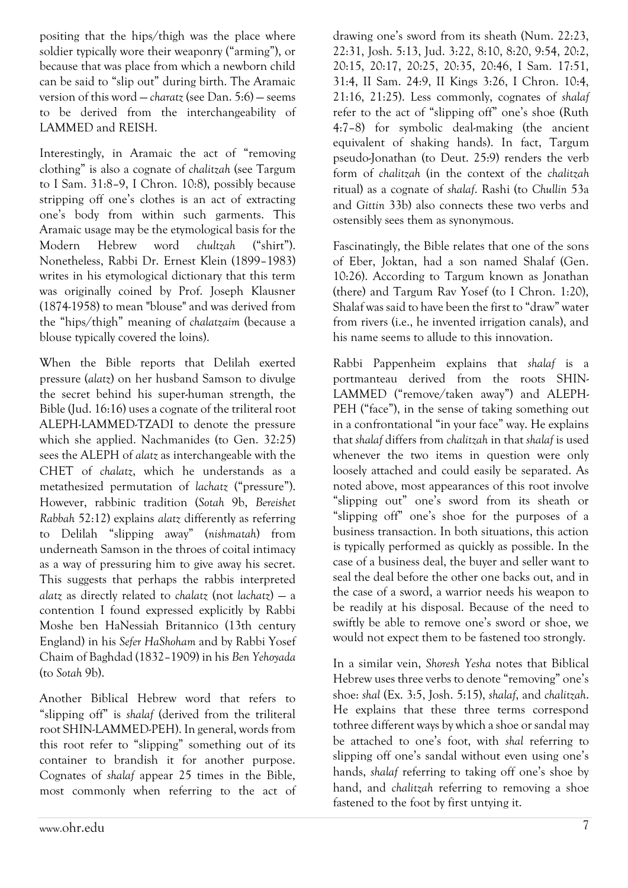positing that the hips/thigh was the place where soldier typically wore their weaponry ("arming"), or because that was place from which a newborn child can be said to "slip out" during birth. The Aramaic version of this word — *charatz* (see Dan. 5:6) — seems to be derived from the interchangeability of LAMMED and REISH.

Interestingly, in Aramaic the act of "removing clothing" is also a cognate of *chalitzah* (see Targum to I Sam. 31:8–9, I Chron. 10:8), possibly because stripping off one's clothes is an act of extracting one's body from within such garments. This Aramaic usage may be the etymological basis for the Modern Hebrew word *chultzah* ("shirt"). Nonetheless, Rabbi Dr. Ernest Klein (1899–1983) writes in his etymological dictionary that this term was originally coined by Prof. Joseph Klausner (1874-1958) to mean "blouse" and was derived from the "hips/thigh" meaning of *chalatzaim* (because a blouse typically covered the loins).

When the Bible reports that Delilah exerted pressure (*alatz*) on her husband Samson to divulge the secret behind his super-human strength, the Bible (Jud. 16:16) uses a cognate of the triliteral root ALEPH-LAMMED-TZADI to denote the pressure which she applied. Nachmanides (to Gen. 32:25) sees the ALEPH of *alatz* as interchangeable with the CHET of *chalatz*, which he understands as a metathesized permutation of *lachatz* ("pressure"). However, rabbinic tradition (*Sotah* 9b, *Bereishet Rabbah* 52:12) explains *alatz* differently as referring to Delilah "slipping away" (*nishmatah*) from underneath Samson in the throes of coital intimacy as a way of pressuring him to give away his secret. This suggests that perhaps the rabbis interpreted *alatz* as directly related to *chalatz* (not *lachatz*) — a contention I found expressed explicitly by Rabbi Moshe ben HaNessiah Britannico (13th century England) in his *Sefer HaShoham* and by Rabbi Yosef Chaim of Baghdad (1832–1909) in his *Ben Yehoyada*  (to *Sotah* 9b).

Another Biblical Hebrew word that refers to "slipping off" is *shalaf* (derived from the triliteral root SHIN-LAMMED-PEH). In general, words from this root refer to "slipping" something out of its container to brandish it for another purpose. Cognates of *shalaf* appear 25 times in the Bible, most commonly when referring to the act of drawing one's sword from its sheath (Num. 22:23, 22:31, Josh. 5:13, Jud. 3:22, 8:10, 8:20, 9:54, 20:2, 20:15, 20:17, 20:25, 20:35, 20:46, I Sam. 17:51, 31:4, II Sam. 24:9, II Kings 3:26, I Chron. 10:4, 21:16, 21:25). Less commonly, cognates of *shalaf*  refer to the act of "slipping off" one's shoe (Ruth 4:7–8) for symbolic deal-making (the ancient equivalent of shaking hands). In fact, Targum pseudo-Jonathan (to Deut. 25:9) renders the verb form of *chalitzah* (in the context of the *chalitzah* ritual) as a cognate of *shalaf*. Rashi (to *Chullin* 53a and *Gittin* 33b) also connects these two verbs and ostensibly sees them as synonymous.

Fascinatingly, the Bible relates that one of the sons of Eber, Joktan, had a son named Shalaf (Gen. 10:26). According to Targum known as Jonathan (there) and Targum Rav Yosef (to I Chron. 1:20), Shalaf was said to have been the first to "draw" water from rivers (i.e., he invented irrigation canals), and his name seems to allude to this innovation.

Rabbi Pappenheim explains that *shalaf* is a portmanteau derived from the roots SHIN-LAMMED ("remove/taken away") and ALEPH-PEH ("face"), in the sense of taking something out in a confrontational "in your face" way. He explains that *shalaf* differs from *chalitzah* in that *shalaf* is used whenever the two items in question were only loosely attached and could easily be separated. As noted above, most appearances of this root involve "slipping out" one's sword from its sheath or "slipping off" one's shoe for the purposes of a business transaction. In both situations, this action is typically performed as quickly as possible. In the case of a business deal, the buyer and seller want to seal the deal before the other one backs out, and in the case of a sword, a warrior needs his weapon to be readily at his disposal. Because of the need to swiftly be able to remove one's sword or shoe, we would not expect them to be fastened too strongly.

In a similar vein, *Shoresh Yesha* notes that Biblical Hebrew uses three verbs to denote "removing" one's shoe: *shal* (Ex. 3:5, Josh. 5:15), *shalaf*, and *chalitzah*. He explains that these three terms correspond tothree different ways by which a shoe or sandal may be attached to one's foot, with *shal* referring to slipping off one's sandal without even using one's hands, *shalaf* referring to taking off one's shoe by hand, and *chalitzah* referring to removing a shoe fastened to the foot by first untying it.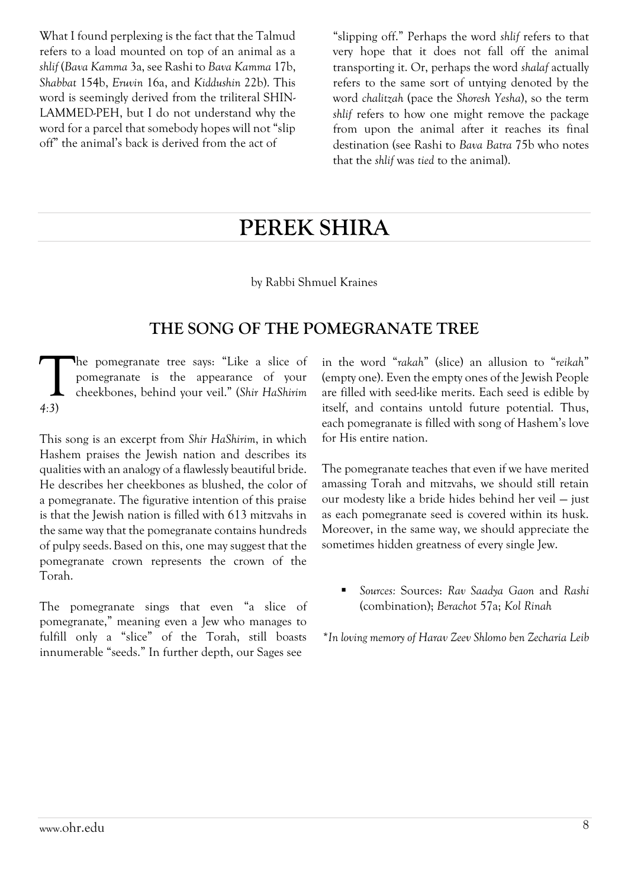What I found perplexing is the fact that the Talmud refers to a load mounted on top of an animal as a *shlif* (*Bava Kamma* 3a, see Rashi to *Bava Kamma* 17b, *Shabbat* 154b, *Eruvin* 16a, and *Kiddushin* 22b). This word is seemingly derived from the triliteral SHIN-LAMMED-PEH, but I do not understand why the word for a parcel that somebody hopes will not "slip off" the animal's back is derived from the act of

"slipping off." Perhaps the word *shlif* refers to that very hope that it does not fall off the animal transporting it. Or, perhaps the word *shalaf* actually refers to the same sort of untying denoted by the word *chalitzah* (pace the *Shoresh Yesha*), so the term *shlif* refers to how one might remove the package from upon the animal after it reaches its final destination (see Rashi to *Bava Batra* 75b who notes that the *shlif* was *tied* to the animal).

## **PEREK SHIRA**

by Rabbi Shmuel Kraines

#### **THE SONG OF THE POMEGRANATE TREE**

he pomegranate tree says: "Like a slice of pomegranate is the appearance of your cheekbones, behind your veil." (*Shir HaShirim 4:3*)  $\prod_{4 \cdot 3}$ 

This song is an excerpt from *Shir HaShirim*, in which Hashem praises the Jewish nation and describes its qualities with an analogy of a flawlessly beautiful bride. He describes her cheekbones as blushed, the color of a pomegranate. The figurative intention of this praise is that the Jewish nation is filled with 613 mitzvahs in the same way that the pomegranate contains hundreds of pulpy seeds.Based on this, one may suggest that the pomegranate crown represents the crown of the Torah.

The pomegranate sings that even "a slice of pomegranate," meaning even a Jew who manages to fulfill only a "slice" of the Torah, still boasts innumerable "seeds." In further depth, our Sages see

in the word "*rakah*" (slice) an allusion to "*reikah*" (empty one). Even the empty ones of the Jewish People are filled with seed-like merits. Each seed is edible by itself, and contains untold future potential. Thus, each pomegranate is filled with song of Hashem's love for His entire nation.

The pomegranate teaches that even if we have merited amassing Torah and mitzvahs, we should still retain our modesty like a bride hides behind her veil — just as each pomegranate seed is covered within its husk. Moreover, in the same way, we should appreciate the sometimes hidden greatness of every single Jew.

 *Sources:* Sources: *Rav Saadya Gaon* and *Rashi*  (combination); *Berachot* 57a; *Kol Rinah*

*\*In loving memory of Harav Zeev Shlomo ben Zecharia Leib*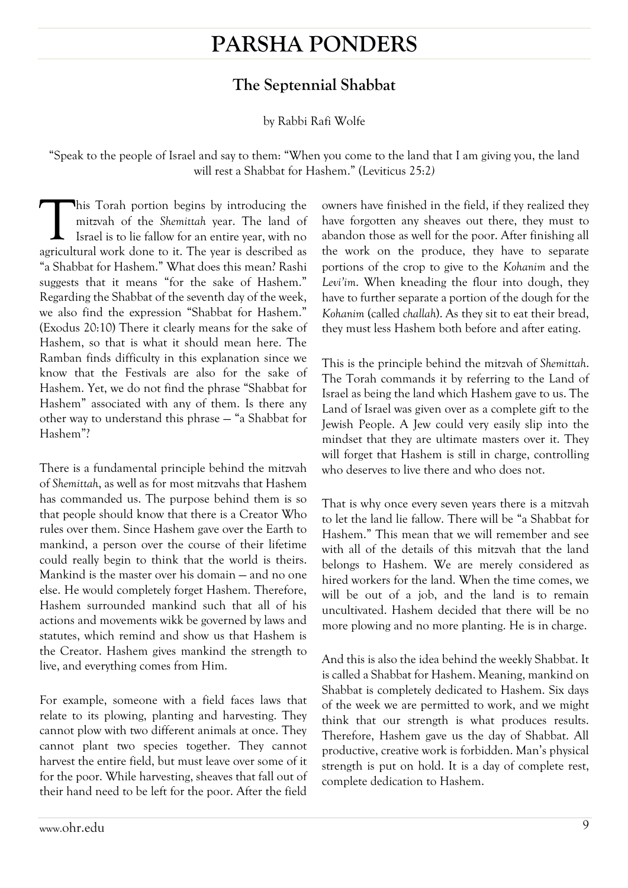## **PARSHA PONDERS**

### **The Septennial Shabbat**

#### by Rabbi Rafi Wolfe

"Speak to the people of Israel and say to them: "When you come to the land that I am giving you, the land will rest a Shabbat for Hashem." (Leviticus 25:2*)*

his Torah portion begins by introducing the mitzvah of the *Shemittah* year. The land of Israel is to lie fallow for an entire year, with no This Torah portion begins by introducing the mitzvah of the Shemittah year. The land of Israel is to lie fallow for an entire year, with no agricultural work done to it. The year is described as "a Shabbat for Hashem." What does this mean? Rashi suggests that it means "for the sake of Hashem." Regarding the Shabbat of the seventh day of the week, we also find the expression "Shabbat for Hashem." (Exodus 20:10) There it clearly means for the sake of Hashem, so that is what it should mean here. The Ramban finds difficulty in this explanation since we know that the Festivals are also for the sake of Hashem. Yet, we do not find the phrase "Shabbat for Hashem" associated with any of them. Is there any other way to understand this phrase — "a Shabbat for Hashem"?

There is a fundamental principle behind the mitzvah of *Shemittah*, as well as for most mitzvahs that Hashem has commanded us. The purpose behind them is so that people should know that there is a Creator Who rules over them. Since Hashem gave over the Earth to mankind, a person over the course of their lifetime could really begin to think that the world is theirs. Mankind is the master over his domain — and no one else. He would completely forget Hashem. Therefore, Hashem surrounded mankind such that all of his actions and movements wikk be governed by laws and statutes, which remind and show us that Hashem is the Creator. Hashem gives mankind the strength to live, and everything comes from Him.

For example, someone with a field faces laws that relate to its plowing, planting and harvesting. They cannot plow with two different animals at once. They cannot plant two species together. They cannot harvest the entire field, but must leave over some of it for the poor. While harvesting, sheaves that fall out of their hand need to be left for the poor. After the field owners have finished in the field, if they realized they have forgotten any sheaves out there, they must to abandon those as well for the poor. After finishing all the work on the produce, they have to separate portions of the crop to give to the *Kohanim* and the *Levi'im*. When kneading the flour into dough, they have to further separate a portion of the dough for the *Kohanim* (called *challah*). As they sit to eat their bread, they must less Hashem both before and after eating.

This is the principle behind the mitzvah of *Shemittah*. The Torah commands it by referring to the Land of Israel as being the land which Hashem gave to us. The Land of Israel was given over as a complete gift to the Jewish People. A Jew could very easily slip into the mindset that they are ultimate masters over it. They will forget that Hashem is still in charge, controlling who deserves to live there and who does not.

That is why once every seven years there is a mitzvah to let the land lie fallow. There will be "a Shabbat for Hashem." This mean that we will remember and see with all of the details of this mitzvah that the land belongs to Hashem. We are merely considered as hired workers for the land. When the time comes, we will be out of a job, and the land is to remain uncultivated. Hashem decided that there will be no more plowing and no more planting. He is in charge.

And this is also the idea behind the weekly Shabbat. It is called a Shabbat for Hashem. Meaning, mankind on Shabbat is completely dedicated to Hashem. Six days of the week we are permitted to work, and we might think that our strength is what produces results. Therefore, Hashem gave us the day of Shabbat. All productive, creative work is forbidden. Man's physical strength is put on hold. It is a day of complete rest, complete dedication to Hashem.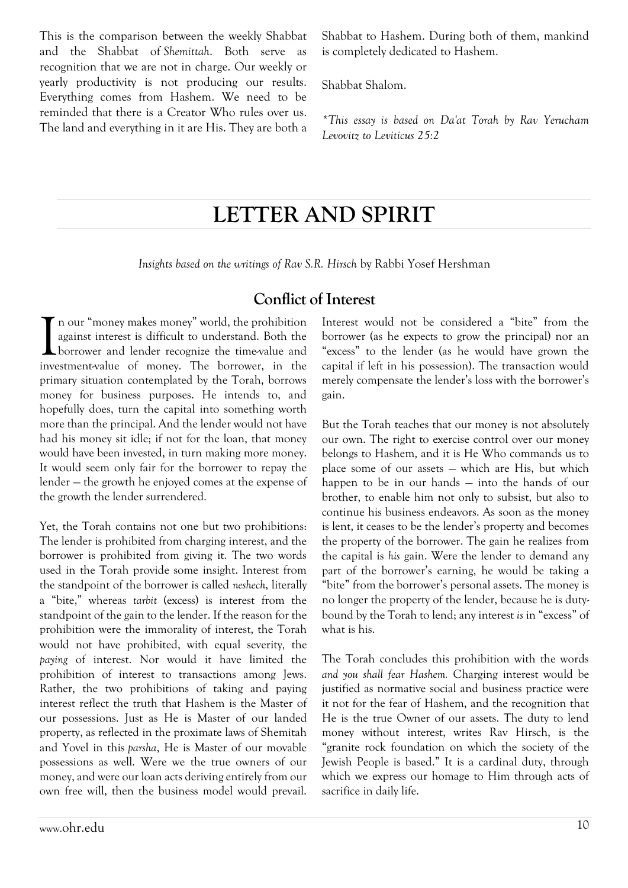This is the comparison between the weekly Shabbat and the Shabbat of *Shemittah*. Both serve as recognition that we are not in charge. Our weekly or yearly productivity is not producing our results. Everything comes from Hashem. We need to be reminded that there is a Creator Who rules over us. The land and everything in it are His. They are both a Shabbat to Hashem. During both of them, mankind is completely dedicated to Hashem.

Shabbat Shalom.

*\*This essay is based on Da'at Torah by Rav Yerucham Levovitz to Leviticus 25:2*

## **LETTER AND SPIRIT**

*Insights based on the writings of Rav S.R. Hirsch* by Rabbi Yosef Hershman

#### **Conflict of Interest**

n our "money makes money" world, the prohibition against interest is difficult to understand. Both the borrower and lender recognize the time-value and investment-value of money. The borrower, in the primary situation contemplated by the Torah, borrows money for business purposes. He intends to, and hopefully does, turn the capital into something worth more than the principal. And the lender would not have had his money sit idle; if not for the loan, that money would have been invested, in turn making more money. It would seem only fair for the borrower to repay the lender — the growth he enjoyed comes at the expense of the growth the lender surrendered. I

Yet, the Torah contains not one but two prohibitions: The lender is prohibited from charging interest, and the borrower is prohibited from giving it. The two words used in the Torah provide some insight. Interest from the standpoint of the borrower is called *neshech*, literally a "bite," whereas *tarbit* (excess) is interest from the standpoint of the gain to the lender. If the reason for the prohibition were the immorality of interest, the Torah would not have prohibited, with equal severity*,* the *paying* of interest. Nor would it have limited the prohibition of interest to transactions among Jews. Rather, the two prohibitions of taking and paying interest reflect the truth that Hashem is the Master of our possessions. Just as He is Master of our landed property, as reflected in the proximate laws of Shemitah and Yovel in this *parsha*, He is Master of our movable possessions as well. Were we the true owners of our money, and were our loan acts deriving entirely from our own free will, then the business model would prevail. Interest would not be considered a "bite" from the borrower (as he expects to grow the principal) nor an "excess" to the lender (as he would have grown the capital if left in his possession). The transaction would merely compensate the lender's loss with the borrower's gain.

But the Torah teaches that our money is not absolutely our own. The right to exercise control over our money belongs to Hashem, and it is He Who commands us to place some of our assets — which are His, but which happen to be in our hands — into the hands of our brother, to enable him not only to subsist, but also to continue his business endeavors. As soon as the money is lent, it ceases to be the lender's property and becomes the property of the borrower. The gain he realizes from the capital is *his* gain. Were the lender to demand any part of the borrower's earning, he would be taking a "bite" from the borrower's personal assets. The money is no longer the property of the lender, because he is dutybound by the Torah to lend; any interest *is* in "excess" of what is his.

The Torah concludes this prohibition with the words *and you shall fear Hashem.* Charging interest would be justified as normative social and business practice were it not for the fear of Hashem, and the recognition that He is the true Owner of our assets. The duty to lend money without interest, writes Rav Hirsch, is the "granite rock foundation on which the society of the Jewish People is based." It is a cardinal duty, through which we express our homage to Him through acts of sacrifice in daily life.